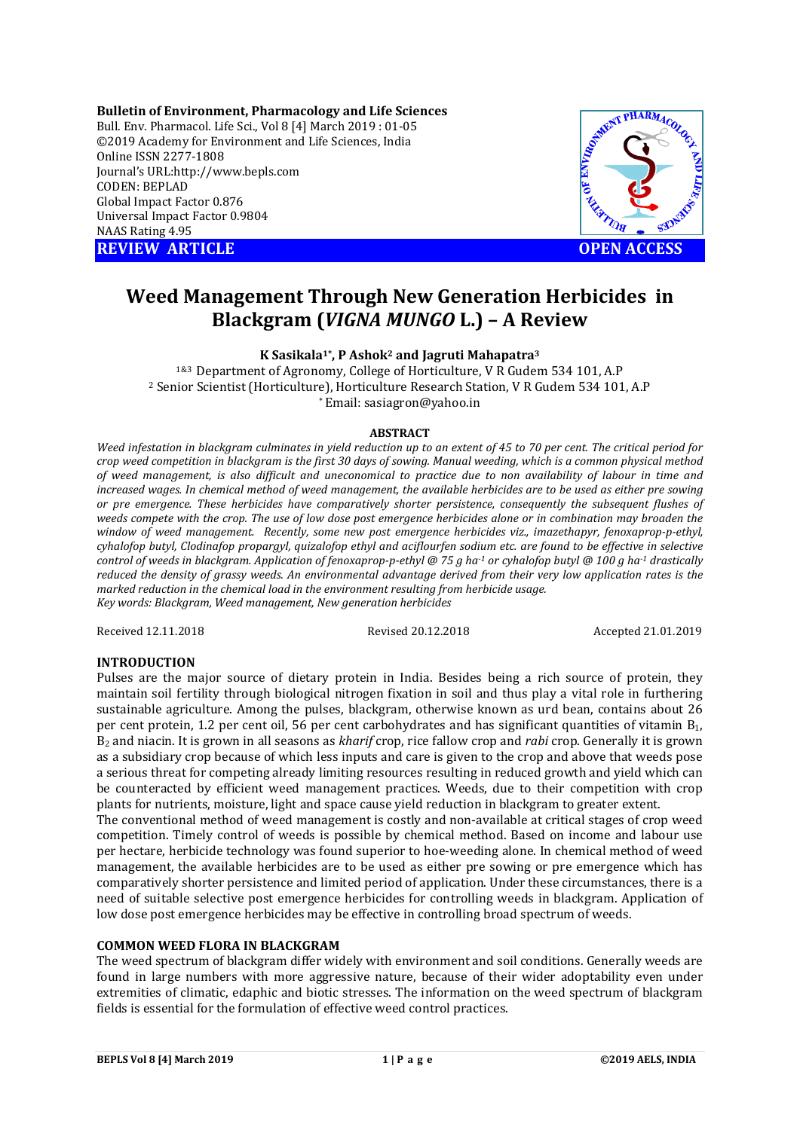**Bulletin of Environment, Pharmacology and Life Sciences** Bull. Env. Pharmacol. Life Sci., Vol 8 [4] March 2019 : 01-05 ©2019 Academy for Environment and Life Sciences, India Online ISSN 2277-1808 Journal's URL:http://www.bepls.com CODEN: BEPLAD Global Impact Factor 0.876 Universal Impact Factor 0.9804 NAAS Rating 4.95 **REVIEW ARTICLE CONSUMING A REVIEW ARTICLE** 



# **Weed Management Through New Generation Herbicides in Blackgram (***VIGNA MUNGO* **L.) – A Review**

**K Sasikala1\*, P Ashok2 and Jagruti Mahapatra3**

1&3 Department of Agronomy, College of Horticulture, V R Gudem 534 101, A.P <sup>2</sup> Senior Scientist (Horticulture), Horticulture Research Station, V R Gudem 534 101, A.P \* Email: sasiagron@yahoo.in

## **ABSTRACT**

*Weed infestation in blackgram culminates in yield reduction up to an extent of 45 to 70 per cent. The critical period for crop weed competition in blackgram is the first 30 days of sowing. Manual weeding, which is a common physical method of weed management, is also difficult and uneconomical to practice due to non availability of labour in time and increased wages. In chemical method of weed management, the available herbicides are to be used as either pre sowing or pre emergence. These herbicides have comparatively shorter persistence, consequently the subsequent flushes of weeds compete with the crop. The use of low dose post emergence herbicides alone or in combination may broaden the window of weed management. Recently, some new post emergence herbicides viz., imazethapyr, fenoxaprop-p-ethyl, cyhalofop butyl, Clodinafop propargyl, quizalofop ethyl and aciflourfen sodium etc. are found to be effective in selective control of weeds in blackgram. Application of fenoxaprop-p-ethyl @ 75 g ha-1 or cyhalofop butyl @ 100 g ha-1 drastically reduced the density of grassy weeds. An environmental advantage derived from their very low application rates is the marked reduction in the chemical load in the environment resulting from herbicide usage. Key words: Blackgram, Weed management, New generation herbicides*

Received 12.11.2018 Revised 20.12.2018 Accepted 21.01.2019

# **INTRODUCTION**

Pulses are the major source of dietary protein in India. Besides being a rich source of protein, they maintain soil fertility through biological nitrogen fixation in soil and thus play a vital role in furthering sustainable agriculture. Among the pulses, blackgram, otherwise known as urd bean, contains about 26 per cent protein, 1.2 per cent oil, 56 per cent carbohydrates and has significant quantities of vitamin B1, B2 and niacin. It is grown in all seasons as *kharif* crop, rice fallow crop and *rabi* crop. Generally it is grown as a subsidiary crop because of which less inputs and care is given to the crop and above that weeds pose a serious threat for competing already limiting resources resulting in reduced growth and yield which can be counteracted by efficient weed management practices. Weeds, due to their competition with crop plants for nutrients, moisture, light and space cause yield reduction in blackgram to greater extent.

The conventional method of weed management is costly and non-available at critical stages of crop weed competition. Timely control of weeds is possible by chemical method. Based on income and labour use per hectare, herbicide technology was found superior to hoe-weeding alone. In chemical method of weed management, the available herbicides are to be used as either pre sowing or pre emergence which has comparatively shorter persistence and limited period of application. Under these circumstances, there is a need of suitable selective post emergence herbicides for controlling weeds in blackgram. Application of low dose post emergence herbicides may be effective in controlling broad spectrum of weeds.

# **COMMON WEED FLORA IN BLACKGRAM**

The weed spectrum of blackgram differ widely with environment and soil conditions. Generally weeds are found in large numbers with more aggressive nature, because of their wider adoptability even under extremities of climatic, edaphic and biotic stresses. The information on the weed spectrum of blackgram fields is essential for the formulation of effective weed control practices.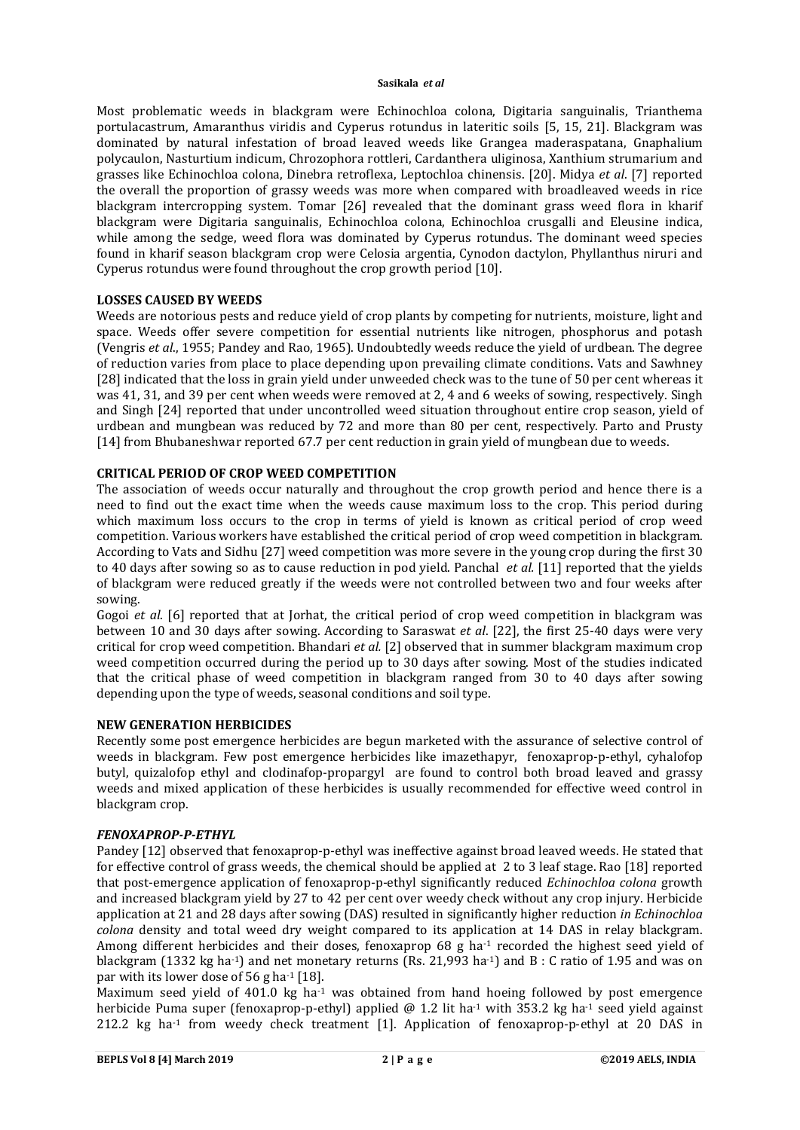Most problematic weeds in blackgram were Echinochloa colona, Digitaria sanguinalis, Trianthema portulacastrum, Amaranthus viridis and Cyperus rotundus in lateritic soils [5, 15, 21]. Blackgram was dominated by natural infestation of broad leaved weeds like Grangea maderaspatana, Gnaphalium polycaulon, Nasturtium indicum, Chrozophora rottleri, Cardanthera uliginosa, Xanthium strumarium and grasses like Echinochloa colona, Dinebra retroflexa, Leptochloa chinensis. [20]. Midya *et al*. [7] reported the overall the proportion of grassy weeds was more when compared with broadleaved weeds in rice blackgram intercropping system. Tomar [26] revealed that the dominant grass weed flora in kharif blackgram were Digitaria sanguinalis, Echinochloa colona, Echinochloa crusgalli and Eleusine indica, while among the sedge, weed flora was dominated by Cyperus rotundus. The dominant weed species found in kharif season blackgram crop were Celosia argentia, Cynodon dactylon, Phyllanthus niruri and Cyperus rotundus were found throughout the crop growth period [10].

## **LOSSES CAUSED BY WEEDS**

Weeds are notorious pests and reduce yield of crop plants by competing for nutrients, moisture, light and space. Weeds offer severe competition for essential nutrients like nitrogen, phosphorus and potash (Vengris *et al*., 1955; Pandey and Rao, 1965). Undoubtedly weeds reduce the yield of urdbean. The degree of reduction varies from place to place depending upon prevailing climate conditions. Vats and Sawhney [28] indicated that the loss in grain yield under unweeded check was to the tune of 50 per cent whereas it was 41, 31, and 39 per cent when weeds were removed at 2, 4 and 6 weeks of sowing, respectively. Singh and Singh [24] reported that under uncontrolled weed situation throughout entire crop season, yield of urdbean and mungbean was reduced by 72 and more than 80 per cent, respectively. Parto and Prusty [14] from Bhubaneshwar reported 67.7 per cent reduction in grain yield of mungbean due to weeds.

# **CRITICAL PERIOD OF CROP WEED COMPETITION**

The association of weeds occur naturally and throughout the crop growth period and hence there is a need to find out the exact time when the weeds cause maximum loss to the crop. This period during which maximum loss occurs to the crop in terms of yield is known as critical period of crop weed competition. Various workers have established the critical period of crop weed competition in blackgram. According to Vats and Sidhu [27] weed competition was more severe in the young crop during the first 30 to 40 days after sowing so as to cause reduction in pod yield. Panchal *et al.* [11] reported that the yields of blackgram were reduced greatly if the weeds were not controlled between two and four weeks after sowing.

Gogoi *et al*. [6] reported that at Jorhat, the critical period of crop weed competition in blackgram was between 10 and 30 days after sowing. According to Saraswat *et al*. [22], the first 25-40 days were very critical for crop weed competition. Bhandari *et al.* [2] observed that in summer blackgram maximum crop weed competition occurred during the period up to 30 days after sowing. Most of the studies indicated that the critical phase of weed competition in blackgram ranged from 30 to 40 days after sowing depending upon the type of weeds, seasonal conditions and soil type.

## **NEW GENERATION HERBICIDES**

Recently some post emergence herbicides are begun marketed with the assurance of selective control of weeds in blackgram. Few post emergence herbicides like imazethapyr, fenoxaprop-p-ethyl, cyhalofop butyl, quizalofop ethyl and clodinafop-propargyl are found to control both broad leaved and grassy weeds and mixed application of these herbicides is usually recommended for effective weed control in blackgram crop.

## *FENOXAPROP-P-ETHYL*

Pandey [12] observed that fenoxaprop-p-ethyl was ineffective against broad leaved weeds. He stated that for effective control of grass weeds, the chemical should be applied at 2 to 3 leaf stage. Rao [18] reported that post-emergence application of fenoxaprop-p-ethyl significantly reduced *Echinochloa colona* growth and increased blackgram yield by 27 to 42 per cent over weedy check without any crop injury. Herbicide application at 21 and 28 days after sowing (DAS) resulted in significantly higher reduction *in Echinochloa colona* density and total weed dry weight compared to its application at 14 DAS in relay blackgram. Among different herbicides and their doses, fenoxaprop 68 g ha<sup>-1</sup> recorded the highest seed yield of blackgram (1332 kg ha<sup>-1</sup>) and net monetary returns (Rs. 21,993 ha<sup>-1</sup>) and B : C ratio of 1.95 and was on par with its lower dose of 56 g ha $-1$  [18].

Maximum seed yield of 401.0 kg  $ha^{-1}$  was obtained from hand hoeing followed by post emergence herbicide Puma super (fenoxaprop-p-ethyl) applied @ 1.2 lit ha<sup>-1</sup> with 353.2 kg ha<sup>-1</sup> seed yield against 212.2 kg ha<sup>-1</sup> from weedy check treatment [1]. Application of fenoxaprop-p-ethyl at 20 DAS in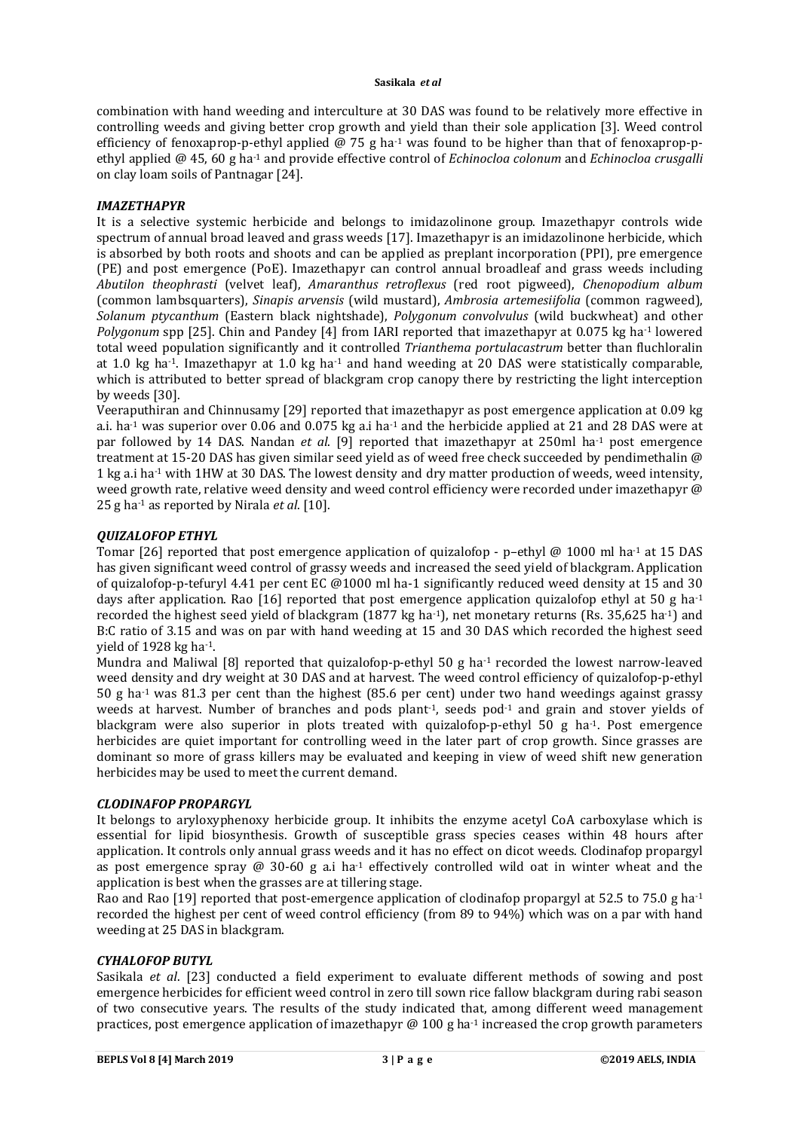combination with hand weeding and interculture at 30 DAS was found to be relatively more effective in controlling weeds and giving better crop growth and yield than their sole application [3]. Weed control efficiency of fenoxaprop-p-ethyl applied @ 75 g ha<sup>-1</sup> was found to be higher than that of fenoxaprop-pethyl applied @ 45, 60 g ha-1 and provide effective control of *Echinocloa colonum* and *Echinocloa crusgalli* on clay loam soils of Pantnagar [24].

## *IMAZETHAPYR*

It is a selective systemic herbicide and belongs to imidazolinone group. Imazethapyr controls wide spectrum of annual broad leaved and grass weeds [17]. Imazethapyr is an imidazolinone herbicide, which is absorbed by both roots and shoots and can be applied as preplant incorporation (PPI), pre emergence (PE) and post emergence (PoE). Imazethapyr can control annual broadleaf and grass weeds including *Abutilon theophrasti* (velvet leaf), *Amaranthus retroflexus* (red root pigweed), *Chenopodium album* (common lambsquarters), *Sinapis arvensis* (wild mustard), *Ambrosia artemesiifolia* (common ragweed), *Solanum ptycanthum* (Eastern black nightshade), *Polygonum convolvulus* (wild buckwheat) and other *Polygonum* spp [25]. Chin and Pandey [4] from IARI reported that imazethapyr at 0.075 kg ha-1 lowered total weed population significantly and it controlled *Trianthema portulacastrum* better than fluchloralin at 1.0 kg ha-1. Imazethapyr at 1.0 kg ha-1 and hand weeding at 20 DAS were statistically comparable, which is attributed to better spread of blackgram crop canopy there by restricting the light interception by weeds [30].

Veeraputhiran and Chinnusamy [29] reported that imazethapyr as post emergence application at 0.09 kg a.i. ha<sup>-1</sup> was superior over 0.06 and 0.075 kg a.i ha<sup>-1</sup> and the herbicide applied at 21 and 28 DAS were at par followed by 14 DAS. Nandan *et al*. [9] reported that imazethapyr at 250ml ha-1 post emergence treatment at 15-20 DAS has given similar seed yield as of weed free check succeeded by pendimethalin @ 1 kg a.i ha-1 with 1HW at 30 DAS. The lowest density and dry matter production of weeds, weed intensity, weed growth rate, relative weed density and weed control efficiency were recorded under imazethapyr @ 25 g ha-1 as reported by Nirala *et al*. [10].

# *QUIZALOFOP ETHYL*

Tomar [26] reported that post emergence application of quizalofop - p–ethyl @ 1000 ml ha<sup>-1</sup> at 15 DAS has given significant weed control of grassy weeds and increased the seed yield of blackgram. Application of quizalofop-p-tefuryl 4.41 per cent EC @1000 ml ha-1 significantly reduced weed density at 15 and 30 days after application. Rao [16] reported that post emergence application quizalofop ethyl at 50 g ha<sup>-1</sup> recorded the highest seed yield of blackgram (1877 kg ha<sup>-1</sup>), net monetary returns (Rs. 35,625 ha<sup>-1</sup>) and B:C ratio of 3.15 and was on par with hand weeding at 15 and 30 DAS which recorded the highest seed yield of 1928 kg ha-1.

Mundra and Maliwal [8] reported that quizalofop-p-ethyl 50 g ha<sup>-1</sup> recorded the lowest narrow-leaved weed density and dry weight at 30 DAS and at harvest. The weed control efficiency of quizalofop-p-ethyl 50 g ha<sup>-1</sup> was 81.3 per cent than the highest (85.6 per cent) under two hand weedings against grassy weeds at harvest. Number of branches and pods plant<sup>1</sup>, seeds pod<sup>-1</sup> and grain and stover yields of blackgram were also superior in plots treated with quizalofop-p-ethyl 50 g ha-1. Post emergence herbicides are quiet important for controlling weed in the later part of crop growth. Since grasses are dominant so more of grass killers may be evaluated and keeping in view of weed shift new generation herbicides may be used to meet the current demand.

# *CLODINAFOP PROPARGYL*

It belongs to aryloxyphenoxy herbicide group. It inhibits the enzyme acetyl CoA carboxylase which is essential for lipid biosynthesis. Growth of susceptible grass species ceases within 48 hours after application. It controls only annual grass weeds and it has no effect on dicot weeds. Clodinafop propargyl as post emergence spray @ 30-60 g a.i ha<sup>-1</sup> effectively controlled wild oat in winter wheat and the application is best when the grasses are at tillering stage.

Rao and Rao [19] reported that post-emergence application of clodinafop propargyl at 52.5 to 75.0 g ha<sup>-1</sup> recorded the highest per cent of weed control efficiency (from 89 to 94%) which was on a par with hand weeding at 25 DAS in blackgram.

# *CYHALOFOP BUTYL*

Sasikala *et al*. [23] conducted a field experiment to evaluate different methods of sowing and post emergence herbicides for efficient weed control in zero till sown rice fallow blackgram during rabi season of two consecutive years. The results of the study indicated that, among different weed management practices, post emergence application of imazethapyr  $\omega$  100 g ha<sup>-1</sup> increased the crop growth parameters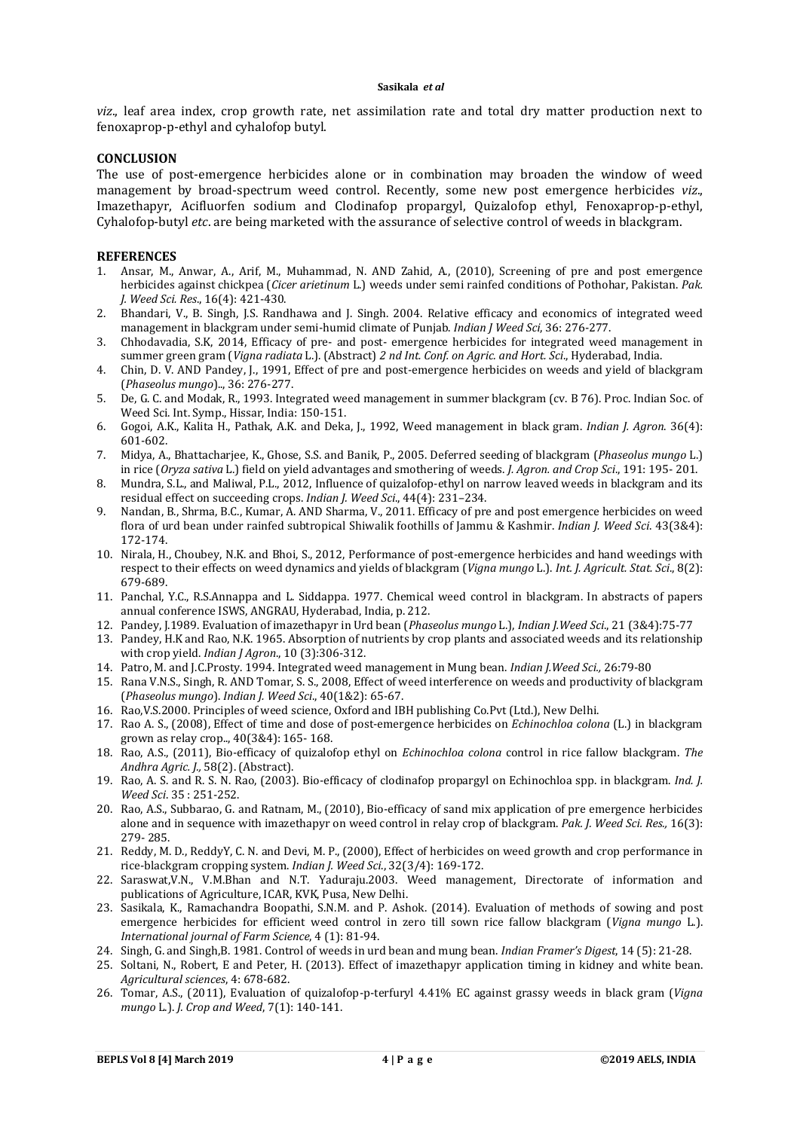*viz*., leaf area index, crop growth rate, net assimilation rate and total dry matter production next to fenoxaprop-p-ethyl and cyhalofop butyl.

#### **CONCLUSION**

The use of post-emergence herbicides alone or in combination may broaden the window of weed management by broad-spectrum weed control. Recently, some new post emergence herbicides *viz*., Imazethapyr, Acifluorfen sodium and Clodinafop propargyl, Quizalofop ethyl, Fenoxaprop-p-ethyl, Cyhalofop-butyl *etc*. are being marketed with the assurance of selective control of weeds in blackgram.

#### **REFERENCES**

- 1. Ansar, M., Anwar, A., Arif, M., Muhammad, N. AND Zahid, A., (2010), Screening of pre and post emergence herbicides against chickpea (*Cicer arietinum* L.) weeds under semi rainfed conditions of Pothohar, Pakistan. *Pak. J. Weed Sci. Res*., 16(4): 421-430.
- 2. Bhandari, V., B. Singh, J.S. Randhawa and J. Singh. 2004. Relative efficacy and economics of integrated weed management in blackgram under semi-humid climate of Punjab. *Indian J Weed Sci*, 36: 276-277.
- 3. Chhodavadia, S.K, 2014, Efficacy of pre- and post- emergence herbicides for integrated weed management in summer green gram (*Vigna radiata* L.). (Abstract) *2 nd Int. Conf. on Agric. and Hort. Sci*., Hyderabad, India.
- 4. Chin, D. V. AND Pandey, J., 1991, Effect of pre and post-emergence herbicides on weeds and yield of blackgram (*Phaseolus mungo*).., 36: 276-277.
- 5. De, G. C. and Modak, R., 1993. Integrated weed management in summer blackgram (cv. B 76). Proc. Indian Soc. of Weed Sci. Int. Symp., Hissar, India: 150-151.
- 6. Gogoi, A.K., Kalita H., Pathak, A.K. and Deka, J., 1992, Weed management in black gram. *Indian J. Agron*. 36(4): 601-602.
- 7. Midya, A., Bhattacharjee, K., Ghose, S.S. and Banik, P., 2005. Deferred seeding of blackgram (*Phaseolus mungo* L.) in rice (*Oryza sativa* L.) field on yield advantages and smothering of weeds. *J. Agron. and Crop Sci*., 191: 195- 201.
- 8. Mundra, S.L., and Maliwal, P.L., 2012, Influence of quizalofop-ethyl on narrow leaved weeds in blackgram and its residual effect on succeeding crops. *Indian J. Weed Sci*., 44(4): 231–234.
- 9. Nandan, B., Shrma, B.C., Kumar, A. AND Sharma, V., 2011. Efficacy of pre and post emergence herbicides on weed flora of urd bean under rainfed subtropical Shiwalik foothills of Jammu & Kashmir. *Indian J. Weed Sci*. 43(3&4): 172-174.
- 10. Nirala, H., Choubey, N.K. and Bhoi, S., 2012, Performance of post-emergence herbicides and hand weedings with respect to their effects on weed dynamics and yields of blackgram (*Vigna mungo* L.). *Int. J. Agricult. Stat. Sci*., 8(2): 679-689.
- 11. Panchal, Y.C., R.S.Annappa and L. Siddappa. 1977. Chemical weed control in blackgram. In abstracts of papers annual conference ISWS, ANGRAU, Hyderabad, India, p. 212.
- 12. Pandey, J.1989. Evaluation of imazethapyr in Urd bean (*Phaseolus mungo* L.), *Indian J.Weed Sci*., 21 (3&4):75-77
- 13. Pandey, H.K and Rao, N.K. 1965. Absorption of nutrients by crop plants and associated weeds and its relationship with crop yield. *Indian J Agron*., 10 (3):306-312.
- 14. Patro, M. and J.C.Prosty. 1994. Integrated weed management in Mung bean. *Indian J.Weed Sci.,* 26:79-80
- 15. Rana V.N.S., Singh, R. AND Tomar, S. S., 2008, Effect of weed interference on weeds and productivity of blackgram (*Phaseolus mungo*). *Indian J. Weed Sci*., 40(1&2): 65-67.
- 16. Rao,V.S.2000. Principles of weed science, Oxford and IBH publishing Co.Pvt (Ltd.), New Delhi.
- 17. Rao A. S., (2008), Effect of time and dose of post-emergence herbicides on *Echinochloa colona* (L.) in blackgram grown as relay crop.., 40(3&4): 165- 168.
- 18. Rao, A.S., (2011), Bio-efficacy of quizalofop ethyl on *Echinochloa colona* control in rice fallow blackgram. *The Andhra Agric. J.,* 58(2). (Abstract).
- 19. Rao, A. S. and R. S. N. Rao, (2003). Bio-efficacy of clodinafop propargyl on Echinochloa spp. in blackgram. *Ind. J. Weed Sci*. 35 : 251-252.
- 20. Rao, A.S., Subbarao, G. and Ratnam, M., (2010), Bio-efficacy of sand mix application of pre emergence herbicides alone and in sequence with imazethapyr on weed control in relay crop of blackgram. *Pak. J. Weed Sci. Res.,* 16(3): 279- 285.
- 21. Reddy, M. D., ReddyY, C. N. and Devi, M. P., (2000), Effect of herbicides on weed growth and crop performance in rice-blackgram cropping system. *Indian J. Weed Sci*., 32(3/4): 169-172.
- 22. Saraswat,V.N., V.M.Bhan and N.T. Yaduraju.2003. Weed management, Directorate of information and publications of Agriculture, ICAR, KVK, Pusa, New Delhi.
- 23. Sasikala, K., Ramachandra Boopathi, S.N.M. and P. Ashok. (2014). Evaluation of methods of sowing and post emergence herbicides for efficient weed control in zero till sown rice fallow blackgram (*Vigna mungo* L.). *International journal of Farm Science*, 4 (1): 81-94.
- 24. Singh, G. and Singh,B. 1981. Control of weeds in urd bean and mung bean. *Indian Framer's Digest*, 14 (5): 21-28.
- 25. Soltani, N., Robert, E and Peter, H. (2013). Effect of imazethapyr application timing in kidney and white bean. *Agricultural sciences*, 4: 678-682.
- 26. Tomar, A.S., (2011), Evaluation of quizalofop-p-terfuryl 4.41% EC against grassy weeds in black gram (*Vigna mungo* L.). *J. Crop and Weed*, 7(1): 140-141.